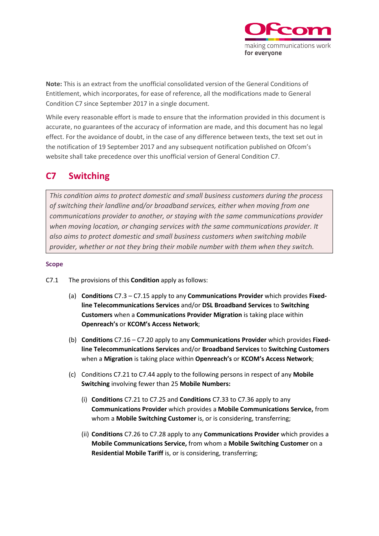

**Note:** This is an extract from the unofficial consolidated version of the General Conditions of Entitlement, which incorporates, for ease of reference, all the modifications made to General Condition C7 since September 2017 in a single document.

While every reasonable effort is made to ensure that the information provided in this document is accurate, no guarantees of the accuracy of information are made, and this document has no legal effect. For the avoidance of doubt, in the case of any difference between texts, the text set out in the notification of 19 September 2017 and any subsequent notification published on Ofcom's website shall take precedence over this unofficial version of General Condition C7.

# **C7 Switching**

*This condition aims to protect domestic and small business customers during the process of switching their landline and/or broadband services, either when moving from one communications provider to another, or staying with the same communications provider when moving location, or changing services with the same communications provider. It also aims to protect domestic and small business customers when switching mobile provider, whether or not they bring their mobile number with them when they switch.*

### **Scope**

C7.1 The provisions of this **Condition** apply as follows:

- (a) **Conditions** C7.3 C7.15 apply to any **Communications Provider** which provides **Fixedline Telecommunications Services** and/or **DSL Broadband Services** to **Switching Customers** when a **Communications Provider Migration** is taking place within **Openreach's** or **KCOM's Access Network**;
- (b) **Conditions** C7.16 C7.20 apply to any **Communications Provider** which provides **Fixedline Telecommunications Services** and/or **Broadband Services** to **Switching Customers** when a **Migration** is taking place within **Openreach's** or **KCOM's Access Network**;
- (c) Conditions C7.21 to C7.44 apply to the following persons in respect of any **Mobile Switching** involving fewer than 25 **Mobile Numbers:**
	- (i) **Conditions** C7.21 to C7.25 and **Conditions** C7.33 to C7.36 apply to any **Communications Provider** which provides a **Mobile Communications Service,** from whom a **Mobile Switching Customer** is, or is considering, transferring;
	- (ii) **Conditions** C7.26 to C7.28 apply to any **Communications Provider** which provides a **Mobile Communications Service,** from whom a **Mobile Switching Customer** on a **Residential Mobile Tariff** is, or is considering, transferring;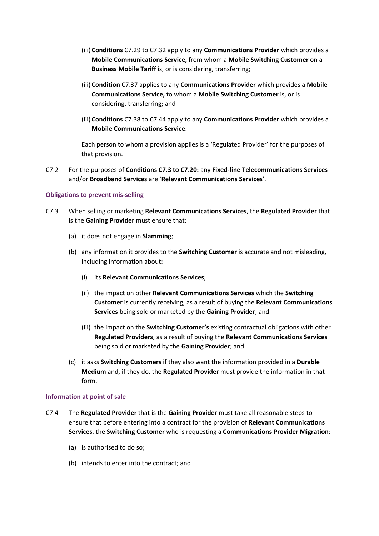- (iii) **Conditions** C7.29 to C7.32 apply to any **Communications Provider** which provides a **Mobile Communications Service,** from whom a **Mobile Switching Customer** on a **Business Mobile Tariff** is, or is considering, transferring;
- (iii) **Condition** C7.37 applies to any **Communications Provider** which provides a **Mobile Communications Service,** to whom a **Mobile Switching Customer** is, or is considering, transferring**;** and
- (iii) **Conditions** C7.38 to C7.44 apply to any **Communications Provider** which provides a **Mobile Communications Service**.

Each person to whom a provision applies is a 'Regulated Provider' for the purposes of that provision.

C7.2 For the purposes of **Conditions C7.3 to C7.20:** any **Fixed-line Telecommunications Services** and/or **Broadband Services** are '**Relevant Communications Services**'.

### **Obligations to prevent mis-selling**

- C7.3 When selling or marketing **Relevant Communications Services**, the **Regulated Provider** that is the **Gaining Provider** must ensure that:
	- (a) it does not engage in **Slamming**;
	- (b) any information it provides to the **Switching Customer** is accurate and not misleading, including information about:
		- (i) its **Relevant Communications Services**;
		- (ii) the impact on other **Relevant Communications Services** which the **Switching Customer** is currently receiving, as a result of buying the **Relevant Communications Services** being sold or marketed by the **Gaining Provider**; and
		- (iii) the impact on the **Switching Customer's** existing contractual obligations with other **Regulated Providers**, as a result of buying the **Relevant Communications Services** being sold or marketed by the **Gaining Provider**; and
	- (c) it asks **Switching Customers** if they also want the information provided in a **Durable Medium** and, if they do, the **Regulated Provider** must provide the information in that form.

#### **Information at point of sale**

- C7.4 The **Regulated Provider** that is the **Gaining Provider** must take all reasonable steps to ensure that before entering into a contract for the provision of **Relevant Communications Services**, the **Switching Customer** who is requesting a **Communications Provider Migration**:
	- (a) is authorised to do so;
	- (b) intends to enter into the contract; and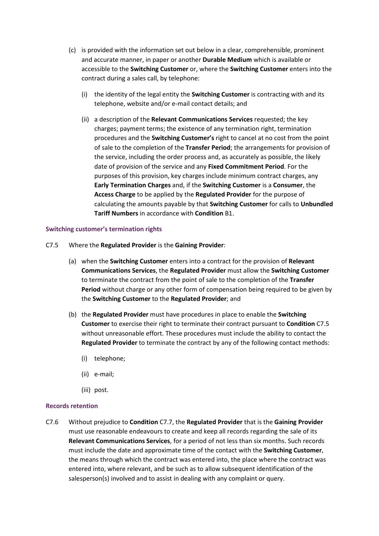- (c) is provided with the information set out below in a clear, comprehensible, prominent and accurate manner, in paper or another **Durable Medium** which is available or accessible to the **Switching Customer** or, where the **Switching Customer** enters into the contract during a sales call, by telephone:
	- (i) the identity of the legal entity the **Switching Customer** is contracting with and its telephone, website and/or e-mail contact details; and
	- (ii) a description of the **Relevant Communications Services** requested; the key charges; payment terms; the existence of any termination right, termination procedures and the **Switching Customer's** right to cancel at no cost from the point of sale to the completion of the **Transfer Period**; the arrangements for provision of the service, including the order process and, as accurately as possible, the likely date of provision of the service and any **Fixed Commitment Period**. For the purposes of this provision, key charges include minimum contract charges, any **Early Termination Charges** and, if the **Switching Customer** is a **Consumer**, the **Access Charge** to be applied by the **Regulated Provider** for the purpose of calculating the amounts payable by that **Switching Customer** for calls to **Unbundled Tariff Numbers** in accordance with **Condition** B1.

### **Switching customer's termination rights**

- C7.5 Where the **Regulated Provider** is the **Gaining Provider**:
	- (a) when the **Switching Customer** enters into a contract for the provision of **Relevant Communications Services**, the **Regulated Provider** must allow the **Switching Customer** to terminate the contract from the point of sale to the completion of the **Transfer Period** without charge or any other form of compensation being required to be given by the **Switching Customer** to the **Regulated Provider**; and
	- (b) the **Regulated Provider** must have procedures in place to enable the **Switching Customer** to exercise their right to terminate their contract pursuant to **Condition** C7.5 without unreasonable effort. These procedures must include the ability to contact the **Regulated Provider** to terminate the contract by any of the following contact methods:
		- (i) telephone;
		- (ii) e-mail;
		- (iii) post.

#### **Records retention**

C7.6 Without prejudice to **Condition** C7.7, the **Regulated Provider** that is the **Gaining Provider** must use reasonable endeavours to create and keep all records regarding the sale of its **Relevant Communications Services**, for a period of not less than six months. Such records must include the date and approximate time of the contact with the **Switching Customer**, the means through which the contract was entered into, the place where the contract was entered into, where relevant, and be such as to allow subsequent identification of the salesperson(s) involved and to assist in dealing with any complaint or query.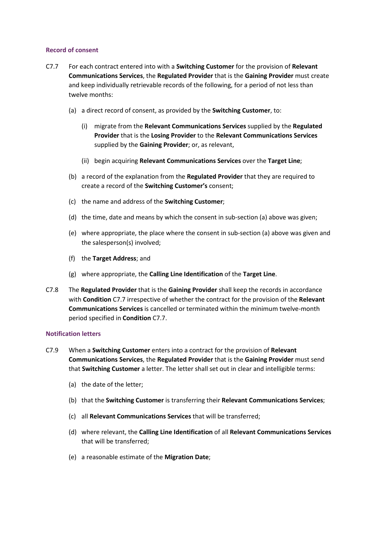### **Record of consent**

- C7.7 For each contract entered into with a **Switching Customer** for the provision of **Relevant Communications Services**, the **Regulated Provider** that is the **Gaining Provider** must create and keep individually retrievable records of the following, for a period of not less than twelve months:
	- (a) a direct record of consent, as provided by the **Switching Customer**, to:
		- (i) migrate from the **Relevant Communications Services** supplied by the **Regulated Provider** that is the **Losing Provider** to the **Relevant Communications Services** supplied by the **Gaining Provider**; or, as relevant,
		- (ii) begin acquiring **Relevant Communications Services** over the **Target Line**;
	- (b) a record of the explanation from the **Regulated Provider** that they are required to create a record of the **Switching Customer's** consent;
	- (c) the name and address of the **Switching Customer**;
	- (d) the time, date and means by which the consent in sub-section (a) above was given;
	- (e) where appropriate, the place where the consent in sub-section (a) above was given and the salesperson(s) involved;
	- (f) the **Target Address**; and
	- (g) where appropriate, the **Calling Line Identification** of the **Target Line**.
- C7.8 The **Regulated Provider** that is the **Gaining Provider** shall keep the records in accordance with **Condition** C7.7 irrespective of whether the contract for the provision of the **Relevant Communications Services** is cancelled or terminated within the minimum twelve-month period specified in **Condition** C7.7.

#### **Notification letters**

- C7.9 When a **Switching Customer** enters into a contract for the provision of **Relevant Communications Services**, the **Regulated Provider** that is the **Gaining Provider** must send that **Switching Customer** a letter. The letter shall set out in clear and intelligible terms:
	- (a) the date of the letter;
	- (b) that the **Switching Customer** is transferring their **Relevant Communications Services**;
	- (c) all **Relevant Communications Services** that will be transferred;
	- (d) where relevant, the **Calling Line Identification** of all **Relevant Communications Services** that will be transferred;
	- (e) a reasonable estimate of the **Migration Date**;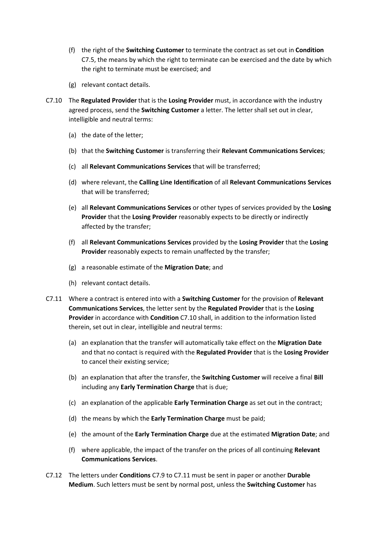- (f) the right of the **Switching Customer** to terminate the contract as set out in **Condition** C7.5, the means by which the right to terminate can be exercised and the date by which the right to terminate must be exercised; and
- (g) relevant contact details.
- C7.10 The **Regulated Provider** that is the **Losing Provider** must, in accordance with the industry agreed process, send the **Switching Customer** a letter. The letter shall set out in clear, intelligible and neutral terms:
	- (a) the date of the letter;
	- (b) that the **Switching Customer** is transferring their **Relevant Communications Services**;
	- (c) all **Relevant Communications Services** that will be transferred;
	- (d) where relevant, the **Calling Line Identification** of all **Relevant Communications Services** that will be transferred;
	- (e) all **Relevant Communications Services** or other types of services provided by the **Losing Provider** that the **Losing Provider** reasonably expects to be directly or indirectly affected by the transfer;
	- (f) all **Relevant Communications Services** provided by the **Losing Provider** that the **Losing Provider** reasonably expects to remain unaffected by the transfer;
	- (g) a reasonable estimate of the **Migration Date**; and
	- (h) relevant contact details.
- C7.11 Where a contract is entered into with a **Switching Customer** for the provision of **Relevant Communications Services**, the letter sent by the **Regulated Provider** that is the **Losing Provider** in accordance with **Condition** C7.10 shall, in addition to the information listed therein, set out in clear, intelligible and neutral terms:
	- (a) an explanation that the transfer will automatically take effect on the **Migration Date** and that no contact is required with the **Regulated Provider** that is the **Losing Provider** to cancel their existing service;
	- (b) an explanation that after the transfer, the **Switching Customer** will receive a final **Bill** including any **Early Termination Charge** that is due;
	- (c) an explanation of the applicable **Early Termination Charge** as set out in the contract;
	- (d) the means by which the **Early Termination Charge** must be paid;
	- (e) the amount of the **Early Termination Charge** due at the estimated **Migration Date**; and
	- (f) where applicable, the impact of the transfer on the prices of all continuing **Relevant Communications Services**.
- C7.12 The letters under **Conditions** C7.9 to C7.11 must be sent in paper or another **Durable Medium**. Such letters must be sent by normal post, unless the **Switching Customer** has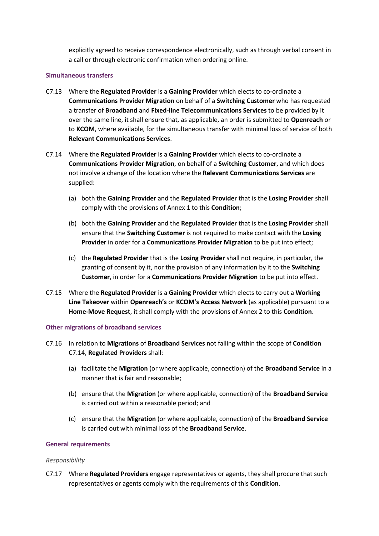explicitly agreed to receive correspondence electronically, such as through verbal consent in a call or through electronic confirmation when ordering online.

### **Simultaneous transfers**

- C7.13 Where the **Regulated Provider** is a **Gaining Provider** which elects to co-ordinate a **Communications Provider Migration** on behalf of a **Switching Customer** who has requested a transfer of **Broadband** and **Fixed-line Telecommunications Services** to be provided by it over the same line, it shall ensure that, as applicable, an order is submitted to **Openreach** or to **KCOM**, where available, for the simultaneous transfer with minimal loss of service of both **Relevant Communications Services**.
- C7.14 Where the **Regulated Provider** is a **Gaining Provider** which elects to co-ordinate a **Communications Provider Migration**, on behalf of a **Switching Customer**, and which does not involve a change of the location where the **Relevant Communications Services** are supplied:
	- (a) both the **Gaining Provider** and the **Regulated Provider** that is the **Losing Provider** shall comply with the provisions of Annex 1 to this **Condition**;
	- (b) both the **Gaining Provider** and the **Regulated Provider** that is the **Losing Provider** shall ensure that the **Switching Customer** is not required to make contact with the **Losing Provider** in order for a **Communications Provider Migration** to be put into effect;
	- (c) the **Regulated Provider** that is the **Losing Provider** shall not require, in particular, the granting of consent by it, nor the provision of any information by it to the **Switching Customer**, in order for a **Communications Provider Migration** to be put into effect.
- C7.15 Where the **Regulated Provider** is a **Gaining Provider** which elects to carry out a **Working Line Takeover** within **Openreach's** or **KCOM's Access Network** (as applicable) pursuant to a **Home-Move Request**, it shall comply with the provisions of Annex 2 to this **Condition**.

#### **Other migrations of broadband services**

- C7.16 In relation to **Migrations** of **Broadband Services** not falling within the scope of **Condition** C7.14, **Regulated Providers** shall:
	- (a) facilitate the **Migration** (or where applicable, connection) of the **Broadband Service** in a manner that is fair and reasonable;
	- (b) ensure that the **Migration** (or where applicable, connection) of the **Broadband Service** is carried out within a reasonable period; and
	- (c) ensure that the **Migration** (or where applicable, connection) of the **Broadband Service** is carried out with minimal loss of the **Broadband Service**.

### **General requirements**

#### *Responsibility*

C7.17 Where **Regulated Providers** engage representatives or agents, they shall procure that such representatives or agents comply with the requirements of this **Condition**.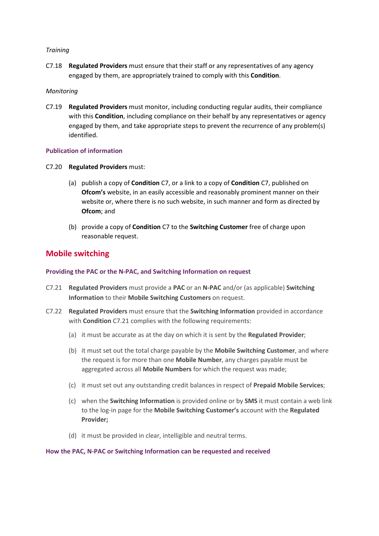### *Training*

C7.18 **Regulated Providers** must ensure that their staff or any representatives of any agency engaged by them, are appropriately trained to comply with this **Condition**.

### *Monitoring*

C7.19 **Regulated Providers** must monitor, including conducting regular audits, their compliance with this **Condition**, including compliance on their behalf by any representatives or agency engaged by them, and take appropriate steps to prevent the recurrence of any problem(s) identified.

### **Publication of information**

- C7.20 **Regulated Providers** must:
	- (a) publish a copy of **Condition** C7, or a link to a copy of **Condition** C7, published on **Ofcom's** website, in an easily accessible and reasonably prominent manner on their website or, where there is no such website, in such manner and form as directed by **Ofcom**; and
	- (b) provide a copy of **Condition** C7 to the **Switching Customer** free of charge upon reasonable request.

### **Mobile switching**

### **Providing the PAC or the N-PAC, and Switching Information on request**

- C7.21 **Regulated Providers** must provide a **PAC** or an **N-PAC** and/or (as applicable) **Switching Information** to their **Mobile Switching Customers** on request.
- C7.22 **Regulated Providers** must ensure that the **Switching Information** provided in accordance with **Condition** C7.21 complies with the following requirements:
	- (a) it must be accurate as at the day on which it is sent by the **Regulated Provider**;
	- (b) it must set out the total charge payable by the **Mobile Switching Customer**, and where the request is for more than one **Mobile Number**, any charges payable must be aggregated across all **Mobile Numbers** for which the request was made;
	- (c) it must set out any outstanding credit balances in respect of **Prepaid Mobile Services**;
	- (c) when the **Switching Information** is provided online or by **SMS** it must contain a web link to the log-in page for the **Mobile Switching Customer's** account with the **Regulated Provider;**
	- (d) it must be provided in clear, intelligible and neutral terms.

### **How the PAC, N-PAC or Switching Information can be requested and received**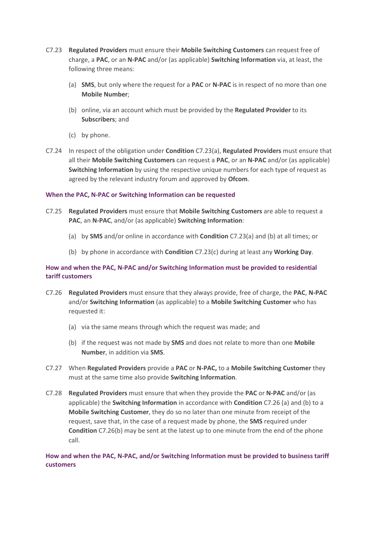- C7.23 **Regulated Providers** must ensure their **Mobile Switching Customers** can request free of charge, a **PAC**, or an **N-PAC** and/or (as applicable) **Switching Information** via, at least, the following three means:
	- (a) **SMS**, but only where the request for a **PAC** or **N-PAC** is in respect of no more than one **Mobile Number**;
	- (b) online, via an account which must be provided by the **Regulated Provider** to its **Subscribers**; and
	- (c) by phone.
- C7.24 In respect of the obligation under **Condition** C7.23(a), **Regulated Providers** must ensure that all their **Mobile Switching Customers** can request a **PAC**, or an **N-PAC** and/or (as applicable) **Switching Information** by using the respective unique numbers for each type of request as agreed by the relevant industry forum and approved by **Ofcom**.

### **When the PAC, N-PAC or Switching Information can be requested**

- C7.25 **Regulated Providers** must ensure that **Mobile Switching Customers** are able to request a **PAC**, an **N-PAC**, and/or (as applicable) **Switching Information**:
	- (a) by **SMS** and/or online in accordance with **Condition** C7.23(a) and (b) at all times; or
	- (b) by phone in accordance with **Condition** C7.23(c) during at least any **Working Day**.

### **How and when the PAC, N-PAC and/or Switching Information must be provided to residential tariff customers**

- C7.26 **Regulated Providers** must ensure that they always provide, free of charge, the **PAC**, **N-PAC** and/or **Switching Information** (as applicable) to a **Mobile Switching Customer** who has requested it:
	- (a) via the same means through which the request was made; and
	- (b) if the request was not made by **SMS** and does not relate to more than one **Mobile Number**, in addition via **SMS**.
- C7.27 When **Regulated Providers** provide a **PAC** or **N-PAC,** to a **Mobile Switching Customer** they must at the same time also provide **Switching Information**.
- C7.28 **Regulated Providers** must ensure that when they provide the **PAC** or **N-PAC** and/or (as applicable) the **Switching Information** in accordance with **Condition** C7.26 (a) and (b) to a **Mobile Switching Customer**, they do so no later than one minute from receipt of the request, save that, in the case of a request made by phone, the **SMS** required under **Condition** C7.26(b) may be sent at the latest up to one minute from the end of the phone call.

### **How and when the PAC, N-PAC, and/or Switching Information must be provided to business tariff customers**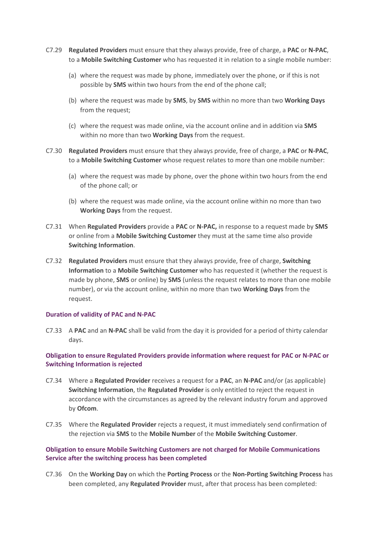- C7.29 **Regulated Providers** must ensure that they always provide, free of charge, a **PAC** or **N-PAC**, to a **Mobile Switching Customer** who has requested it in relation to a single mobile number:
	- (a) where the request was made by phone, immediately over the phone, or if this is not possible by **SMS** within two hours from the end of the phone call;
	- (b) where the request was made by **SMS**, by **SMS** within no more than two **Working Days** from the request;
	- (c) where the request was made online, via the account online and in addition via **SMS**  within no more than two **Working Days** from the request.
- C7.30 **Regulated Providers** must ensure that they always provide, free of charge, a **PAC** or **N-PAC**, to a **Mobile Switching Customer** whose request relates to more than one mobile number:
	- (a) where the request was made by phone, over the phone within two hours from the end of the phone call; or
	- (b) where the request was made online, via the account online within no more than two **Working Days** from the request.
- C7.31 When **Regulated Providers** provide a **PAC** or **N-PAC,** in response to a request made by **SMS**  or online from a **Mobile Switching Customer** they must at the same time also provide **Switching Information**.
- C7.32 **Regulated Providers** must ensure that they always provide, free of charge, **Switching Information** to a **Mobile Switching Customer** who has requested it (whether the request is made by phone, **SMS** or online) by **SMS** (unless the request relates to more than one mobile number), or via the account online, within no more than two **Working Days** from the request.

#### **Duration of validity of PAC and N-PAC**

C7.33 A **PAC** and an **N-PAC** shall be valid from the day it is provided for a period of thirty calendar days.

### **Obligation to ensure Regulated Providers provide information where request for PAC or N-PAC or Switching Information is rejected**

- C7.34 Where a **Regulated Provider** receives a request for a **PAC**, an **N-PAC** and/or (as applicable) **Switching Information**, the **Regulated Provider** is only entitled to reject the request in accordance with the circumstances as agreed by the relevant industry forum and approved by **Ofcom**.
- C7.35 Where the **Regulated Provider** rejects a request, it must immediately send confirmation of the rejection via **SMS** to the **Mobile Number** of the **Mobile Switching Customer**.

### **Obligation to ensure Mobile Switching Customers are not charged for Mobile Communications Service after the switching process has been completed**

C7.36 On the **Working Day** on which the **Porting Process** or the **Non-Porting Switching Process** has been completed, any **Regulated Provider** must, after that process has been completed: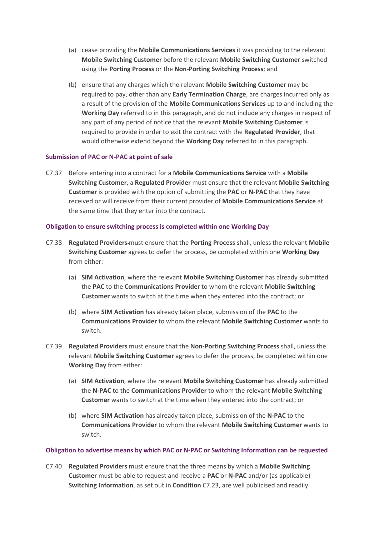- (a) cease providing the **Mobile Communications Services** it was providing to the relevant **Mobile Switching Customer** before the relevant **Mobile Switching Customer** switched using the **Porting Process** or the **Non-Porting Switching Process**; and
- (b) ensure that any charges which the relevant **Mobile Switching Customer** may be required to pay, other than any **Early Termination Charge**, are charges incurred only as a result of the provision of the **Mobile Communications Services** up to and including the **Working Day** referred to in this paragraph, and do not include any charges in respect of any part of any period of notice that the relevant **Mobile Switching Customer** is required to provide in order to exit the contract with the **Regulated Provider**, that would otherwise extend beyond the **Working Day** referred to in this paragraph.

### **Submission of PAC or N-PAC at point of sale**

C7.37 Before entering into a contract for a **Mobile Communications Service** with a **Mobile Switching Customer**, a **Regulated Provider** must ensure that the relevant **Mobile Switching Customer** is provided with the option of submitting the **PAC** or **N-PAC** that they have received or will receive from their current provider of **Mobile Communications Service** at the same time that they enter into the contract.

### **Obligation to ensure switching process is completed within one Working Day**

- C7.38 **Regulated Providers** must ensure that the **Porting Process** shall, unless the relevant **Mobile Switching Customer** agrees to defer the process, be completed within one **Working Day** from either:
	- (a) **SIM Activation**, where the relevant **Mobile Switching Customer** has already submitted the **PAC** to the **Communications Provider** to whom the relevant **Mobile Switching Customer** wants to switch at the time when they entered into the contract; or
	- (b) where **SIM Activation** has already taken place, submission of the **PAC** to the **Communications Provider** to whom the relevant **Mobile Switching Customer** wants to switch.
- C7.39 **Regulated Providers** must ensure that the **Non-Porting Switching Process** shall, unless the relevant **Mobile Switching Customer** agrees to defer the process, be completed within one **Working Day** from either:
	- (a) **SIM Activation**, where the relevant **Mobile Switching Customer** has already submitted the **N-PAC** to the **Communications Provider** to whom the relevant **Mobile Switching Customer** wants to switch at the time when they entered into the contract; or
	- (b) where **SIM Activation** has already taken place, submission of the **N-PAC** to the **Communications Provider** to whom the relevant **Mobile Switching Customer** wants to switch.

#### **Obligation to advertise means by which PAC or N-PAC or Switching Information can be requested**

C7.40 **Regulated Providers** must ensure that the three means by which a **Mobile Switching Customer** must be able to request and receive a **PAC** or **N-PAC** and/or (as applicable) **Switching Information**, as set out in **Condition** C7.23, are well publicised and readily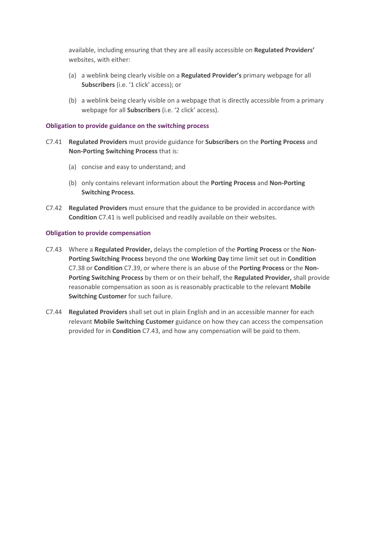available, including ensuring that they are all easily accessible on **Regulated Providers'** websites, with either:

- (a) a weblink being clearly visible on a **Regulated Provider's** primary webpage for all **Subscribers** (i.e. '1 click' access); or
- (b) a weblink being clearly visible on a webpage that is directly accessible from a primary webpage for all **Subscribers** (i.e. '2 click' access).

### **Obligation to provide guidance on the switching process**

- C7.41 **Regulated Providers** must provide guidance for **Subscribers** on the **Porting Process** and **Non-Porting Switching Process** that is:
	- (a) concise and easy to understand; and
	- (b) only contains relevant information about the **Porting Process** and **Non-Porting Switching Process**.
- C7.42 **Regulated Providers** must ensure that the guidance to be provided in accordance with **Condition** C7.41 is well publicised and readily available on their websites.

#### **Obligation to provide compensation**

- C7.43 Where a **Regulated Provider,** delays the completion of the **Porting Process** or the **Non-Porting Switching Process** beyond the one **Working Day** time limit set out in **Condition** C7.38 or **Condition** C7.39, or where there is an abuse of the **Porting Process** or the **Non-Porting Switching Process** by them or on their behalf, the **Regulated Provider,** shall provide reasonable compensation as soon as is reasonably practicable to the relevant **Mobile Switching Customer** for such failure.
- C7.44 **Regulated Providers** shall set out in plain English and in an accessible manner for each relevant **Mobile Switching Customer** guidance on how they can access the compensation provided for in **Condition** C7.43, and how any compensation will be paid to them.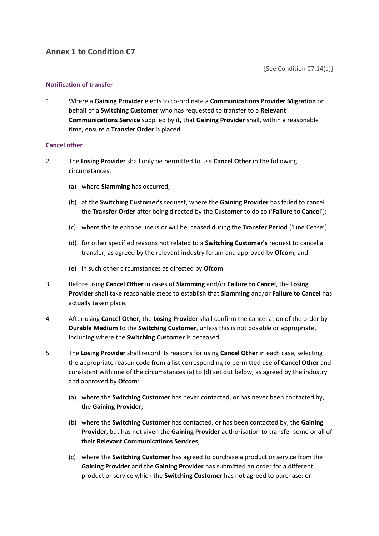[See Condition C7.14(a)]

### **Notification of transfer**

1 Where a **Gaining Provider** elects to co-ordinate a **Communications Provider Migration** on behalf of a **Switching Customer** who has requested to transfer to a **Relevant Communications Service** supplied by it, that **Gaining Provider** shall, within a reasonable time, ensure a **Transfer Order** is placed.

### **Cancel other**

- 2 The **Losing Provider** shall only be permitted to use **Cancel Other** in the following circumstances:
	- (a) where **Slamming** has occurred;
	- (b) at the **Switching Customer's** request, where the **Gaining Provider** has failed to cancel the **Transfer Order** after being directed by the **Customer** to do so ('**Failure to Cancel**');
	- (c) where the telephone line is or will be, ceased during the **Transfer Period** ('Line Cease');
	- (d) for other specified reasons not related to a **Switching Customer's** request to cancel a transfer, as agreed by the relevant industry forum and approved by **Ofcom**; and
	- (e) in such other circumstances as directed by **Ofcom**.
- 3 Before using **Cancel Other** in cases of **Slamming** and/or **Failure to Cancel**, the **Losing Provider** shall take reasonable steps to establish that **Slamming** and/or **Failure to Cancel** has actually taken place.
- 4 After using **Cancel Other**, the **Losing Provider** shall confirm the cancellation of the order by **Durable Medium** to the **Switching Customer**, unless this is not possible or appropriate, including where the **Switching Customer** is deceased.
- 5 The **Losing Provider** shall record its reasons for using **Cancel Other** in each case, selecting the appropriate reason code from a list corresponding to permitted use of **Cancel Other** and consistent with one of the circumstances (a) to (d) set out below, as agreed by the industry and approved by **Ofcom**:
	- (a) where the **Switching Customer** has never contacted, or has never been contacted by, the **Gaining Provider**;
	- (b) where the **Switching Customer** has contacted, or has been contacted by, the **Gaining Provider**, but has not given the **Gaining Provider** authorisation to transfer some or all of their **Relevant Communications Services**;
	- (c) where the **Switching Customer** has agreed to purchase a product or service from the **Gaining Provider** and the **Gaining Provider** has submitted an order for a different product or service which the **Switching Customer** has not agreed to purchase; or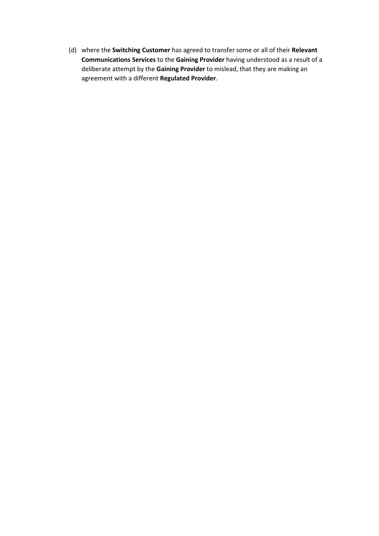(d) where the **Switching Customer** has agreed to transfer some or all of their **Relevant Communications Services** to the **Gaining Provider** having understood as a result of a deliberate attempt by the **Gaining Provider** to mislead, that they are making an agreement with a different **Regulated Provider**.